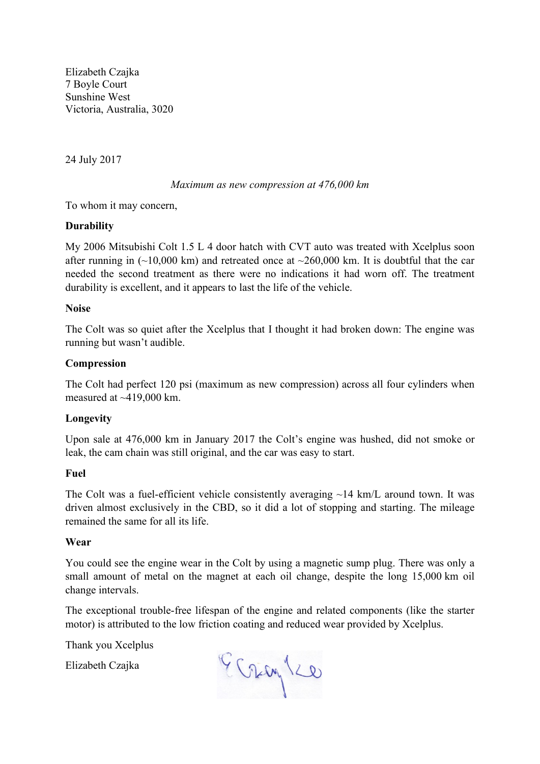Elizabeth Czajka 7 Boyle Court Sunshine West Victoria, Australia, 3020

24 July 2017

## *Maximum as new compression at 476,000 km*

To whom it may concern,

## **Durability**

My 2006 Mitsubishi Colt 1.5 L 4 door hatch with CVT auto was treated with Xcelplus soon after running in  $(\sim 10,000 \text{ km})$  and retreated once at  $\sim 260,000 \text{ km}$ . It is doubtful that the car needed the second treatment as there were no indications it had worn off. The treatment durability is excellent, and it appears to last the life of the vehicle.

## **Noise**

The Colt was so quiet after the Xcelplus that I thought it had broken down: The engine was running but wasn't audible.

## **Compression**

The Colt had perfect 120 psi (maximum as new compression) across all four cylinders when measured at ~419,000 km.

# **Longevity**

Upon sale at 476,000 km in January 2017 the Colt's engine was hushed, did not smoke or leak, the cam chain was still original, and the car was easy to start.

## **Fuel**

The Colt was a fuel-efficient vehicle consistently averaging  $\sim$  14 km/L around town. It was driven almost exclusively in the CBD, so it did a lot of stopping and starting. The mileage remained the same for all its life.

## **Wear**

You could see the engine wear in the Colt by using a magnetic sump plug. There was only a small amount of metal on the magnet at each oil change, despite the long 15,000 km oil change intervals.

The exceptional trouble-free lifespan of the engine and related components (like the starter motor) is attributed to the low friction coating and reduced wear provided by Xcelplus.

Thank you Xcelplus

Elizabeth Czajka

Grayles